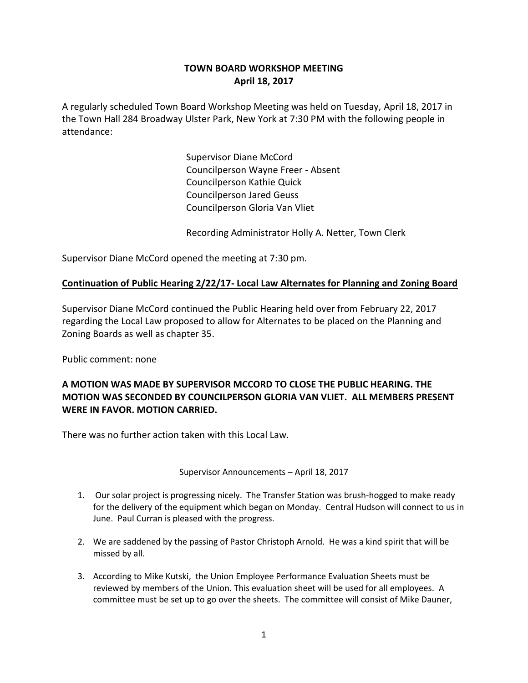# **TOWN BOARD WORKSHOP MEETING April 18, 2017**

A regularly scheduled Town Board Workshop Meeting was held on Tuesday, April 18, 2017 in the Town Hall 284 Broadway Ulster Park, New York at 7:30 PM with the following people in attendance:

> Supervisor Diane McCord Councilperson Wayne Freer - Absent Councilperson Kathie Quick Councilperson Jared Geuss Councilperson Gloria Van Vliet

Recording Administrator Holly A. Netter, Town Clerk

Supervisor Diane McCord opened the meeting at 7:30 pm.

### **Continuation of Public Hearing 2/22/17- Local Law Alternates for Planning and Zoning Board**

Supervisor Diane McCord continued the Public Hearing held over from February 22, 2017 regarding the Local Law proposed to allow for Alternates to be placed on the Planning and Zoning Boards as well as chapter 35.

Public comment: none

## **A MOTION WAS MADE BY SUPERVISOR MCCORD TO CLOSE THE PUBLIC HEARING. THE MOTION WAS SECONDED BY COUNCILPERSON GLORIA VAN VLIET. ALL MEMBERS PRESENT WERE IN FAVOR. MOTION CARRIED.**

There was no further action taken with this Local Law.

Supervisor Announcements – April 18, 2017

- 1. Our solar project is progressing nicely. The Transfer Station was brush-hogged to make ready for the delivery of the equipment which began on Monday. Central Hudson will connect to us in June. Paul Curran is pleased with the progress.
- 2. We are saddened by the passing of Pastor Christoph Arnold. He was a kind spirit that will be missed by all.
- 3. According to Mike Kutski, the Union Employee Performance Evaluation Sheets must be reviewed by members of the Union. This evaluation sheet will be used for all employees. A committee must be set up to go over the sheets. The committee will consist of Mike Dauner,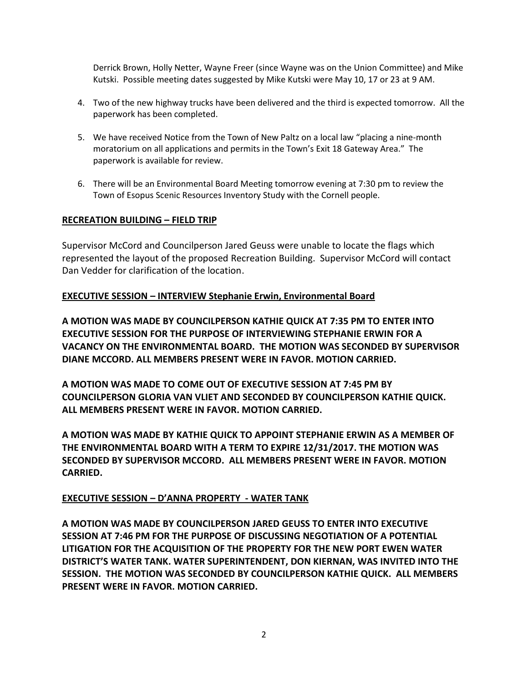Derrick Brown, Holly Netter, Wayne Freer (since Wayne was on the Union Committee) and Mike Kutski. Possible meeting dates suggested by Mike Kutski were May 10, 17 or 23 at 9 AM.

- 4. Two of the new highway trucks have been delivered and the third is expected tomorrow. All the paperwork has been completed.
- 5. We have received Notice from the Town of New Paltz on a local law "placing a nine-month moratorium on all applications and permits in the Town's Exit 18 Gateway Area." The paperwork is available for review.
- 6. There will be an Environmental Board Meeting tomorrow evening at 7:30 pm to review the Town of Esopus Scenic Resources Inventory Study with the Cornell people.

#### **RECREATION BUILDING – FIELD TRIP**

Supervisor McCord and Councilperson Jared Geuss were unable to locate the flags which represented the layout of the proposed Recreation Building. Supervisor McCord will contact Dan Vedder for clarification of the location.

### **EXECUTIVE SESSION – INTERVIEW Stephanie Erwin, Environmental Board**

**A MOTION WAS MADE BY COUNCILPERSON KATHIE QUICK AT 7:35 PM TO ENTER INTO EXECUTIVE SESSION FOR THE PURPOSE OF INTERVIEWING STEPHANIE ERWIN FOR A VACANCY ON THE ENVIRONMENTAL BOARD. THE MOTION WAS SECONDED BY SUPERVISOR DIANE MCCORD. ALL MEMBERS PRESENT WERE IN FAVOR. MOTION CARRIED.**

**A MOTION WAS MADE TO COME OUT OF EXECUTIVE SESSION AT 7:45 PM BY COUNCILPERSON GLORIA VAN VLIET AND SECONDED BY COUNCILPERSON KATHIE QUICK. ALL MEMBERS PRESENT WERE IN FAVOR. MOTION CARRIED.** 

**A MOTION WAS MADE BY KATHIE QUICK TO APPOINT STEPHANIE ERWIN AS A MEMBER OF THE ENVIRONMENTAL BOARD WITH A TERM TO EXPIRE 12/31/2017. THE MOTION WAS SECONDED BY SUPERVISOR MCCORD. ALL MEMBERS PRESENT WERE IN FAVOR. MOTION CARRIED.** 

#### **EXECUTIVE SESSION – D'ANNA PROPERTY - WATER TANK**

**A MOTION WAS MADE BY COUNCILPERSON JARED GEUSS TO ENTER INTO EXECUTIVE SESSION AT 7:46 PM FOR THE PURPOSE OF DISCUSSING NEGOTIATION OF A POTENTIAL LITIGATION FOR THE ACQUISITION OF THE PROPERTY FOR THE NEW PORT EWEN WATER DISTRICT'S WATER TANK. WATER SUPERINTENDENT, DON KIERNAN, WAS INVITED INTO THE SESSION. THE MOTION WAS SECONDED BY COUNCILPERSON KATHIE QUICK. ALL MEMBERS PRESENT WERE IN FAVOR. MOTION CARRIED.**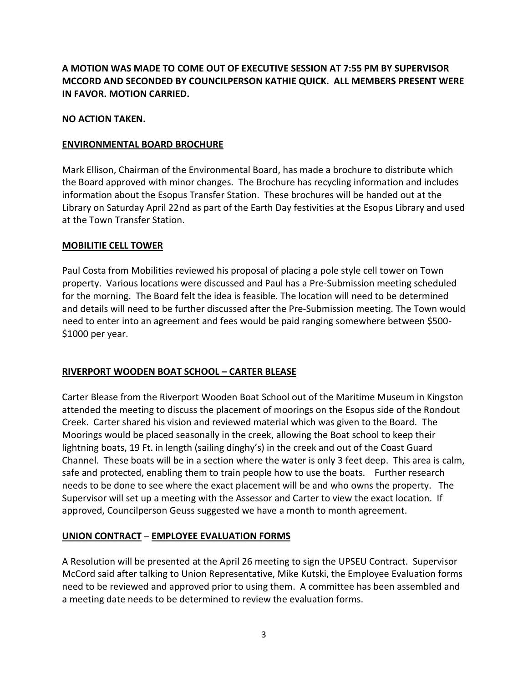**A MOTION WAS MADE TO COME OUT OF EXECUTIVE SESSION AT 7:55 PM BY SUPERVISOR MCCORD AND SECONDED BY COUNCILPERSON KATHIE QUICK. ALL MEMBERS PRESENT WERE IN FAVOR. MOTION CARRIED.** 

#### **NO ACTION TAKEN.**

#### **ENVIRONMENTAL BOARD BROCHURE**

Mark Ellison, Chairman of the Environmental Board, has made a brochure to distribute which the Board approved with minor changes. The Brochure has recycling information and includes information about the Esopus Transfer Station. These brochures will be handed out at the Library on Saturday April 22nd as part of the Earth Day festivities at the Esopus Library and used at the Town Transfer Station.

#### **MOBILITIE CELL TOWER**

Paul Costa from Mobilities reviewed his proposal of placing a pole style cell tower on Town property. Various locations were discussed and Paul has a Pre-Submission meeting scheduled for the morning. The Board felt the idea is feasible. The location will need to be determined and details will need to be further discussed after the Pre-Submission meeting. The Town would need to enter into an agreement and fees would be paid ranging somewhere between \$500- \$1000 per year.

#### **RIVERPORT WOODEN BOAT SCHOOL – CARTER BLEASE**

Carter Blease from the Riverport Wooden Boat School out of the Maritime Museum in Kingston attended the meeting to discuss the placement of moorings on the Esopus side of the Rondout Creek. Carter shared his vision and reviewed material which was given to the Board. The Moorings would be placed seasonally in the creek, allowing the Boat school to keep their lightning boats, 19 Ft. in length (sailing dinghy's) in the creek and out of the Coast Guard Channel. These boats will be in a section where the water is only 3 feet deep. This area is calm, safe and protected, enabling them to train people how to use the boats. Further research needs to be done to see where the exact placement will be and who owns the property. The Supervisor will set up a meeting with the Assessor and Carter to view the exact location. If approved, Councilperson Geuss suggested we have a month to month agreement.

## **UNION CONTRACT** – **EMPLOYEE EVALUATION FORMS**

A Resolution will be presented at the April 26 meeting to sign the UPSEU Contract. Supervisor McCord said after talking to Union Representative, Mike Kutski, the Employee Evaluation forms need to be reviewed and approved prior to using them. A committee has been assembled and a meeting date needs to be determined to review the evaluation forms.